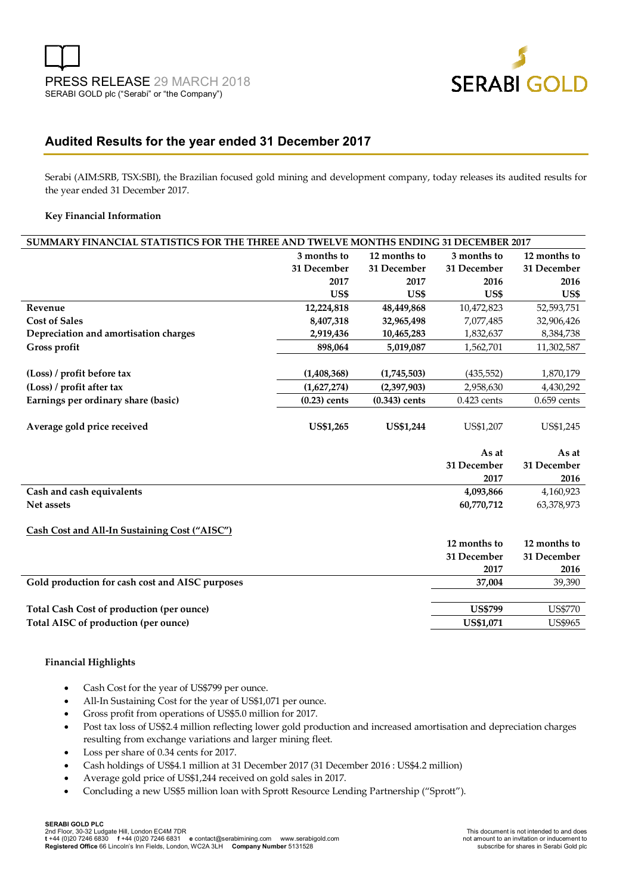

# **Audited Results for the year ended 31 December 2017**

Serabi (AIM:SRB, TSX:SBI), the Brazilian focused gold mining and development company, today releases its audited results for the year ended 31 December 2017.

#### **Key Financial Information**

| SUMMARY FINANCIAL STATISTICS FOR THE THREE AND TWELVE MONTHS ENDING 31 DECEMBER 2017 |                |                  |                |                |
|--------------------------------------------------------------------------------------|----------------|------------------|----------------|----------------|
|                                                                                      | 3 months to    | 12 months to     | 3 months to    | 12 months to   |
|                                                                                      | 31 December    | 31 December      | 31 December    | 31 December    |
|                                                                                      | 2017           | 2017             | 2016           | 2016           |
|                                                                                      | US\$           | US\$             | US\$           | US\$           |
| Revenue                                                                              | 12,224,818     | 48,449,868       | 10,472,823     | 52,593,751     |
| <b>Cost of Sales</b>                                                                 | 8,407,318      | 32,965,498       | 7,077,485      | 32,906,426     |
| Depreciation and amortisation charges                                                | 2,919,436      | 10,465,283       | 1,832,637      | 8,384,738      |
| Gross profit                                                                         | 898,064        | 5,019,087        | 1,562,701      | 11,302,587     |
|                                                                                      |                |                  |                |                |
| (Loss) / profit before tax                                                           | (1,408,368)    | (1,745,503)      | (435, 552)     | 1,870,179      |
| (Loss) / profit after tax                                                            | (1,627,274)    | (2,397,903)      | 2,958,630      | 4,430,292      |
| Earnings per ordinary share (basic)                                                  | $(0.23)$ cents | $(0.343)$ cents  | $0.423$ cents  | $0.659$ cents  |
|                                                                                      |                |                  |                |                |
| Average gold price received                                                          | US\$1,265      | <b>US\$1,244</b> | US\$1,207      | US\$1,245      |
|                                                                                      |                |                  |                |                |
|                                                                                      |                |                  | As at          | As at          |
|                                                                                      |                |                  | 31 December    | 31 December    |
|                                                                                      |                |                  | 2017           | 2016           |
| Cash and cash equivalents                                                            |                |                  | 4,093,866      | 4,160,923      |
| Net assets                                                                           |                |                  | 60,770,712     | 63,378,973     |
|                                                                                      |                |                  |                |                |
| Cash Cost and All-In Sustaining Cost ("AISC")                                        |                |                  |                |                |
|                                                                                      |                |                  | 12 months to   | 12 months to   |
|                                                                                      |                |                  | 31 December    | 31 December    |
|                                                                                      |                |                  | 2017           | 2016           |
| Gold production for cash cost and AISC purposes                                      |                |                  | 37,004         | 39,390         |
|                                                                                      |                |                  |                |                |
| Total Cash Cost of production (per ounce)                                            |                |                  | <b>US\$799</b> | <b>US\$770</b> |
|                                                                                      |                |                  |                |                |

#### **Financial Highlights**

- Cash Cost for the year of US\$799 per ounce.
- All-In Sustaining Cost for the year of US\$1,071 per ounce.
- Gross profit from operations of US\$5.0 million for 2017.
- Post tax loss of US\$2.4 million reflecting lower gold production and increased amortisation and depreciation charges resulting from exchange variations and larger mining fleet.
- Loss per share of 0.34 cents for 2017.
- Cash holdings of US\$4.1 million at 31 December 2017 (31 December 2016 : US\$4.2 million)
- Average gold price of US\$1,244 received on gold sales in 2017.
- Concluding a new US\$5 million loan with Sprott Resource Lending Partnership ("Sprott").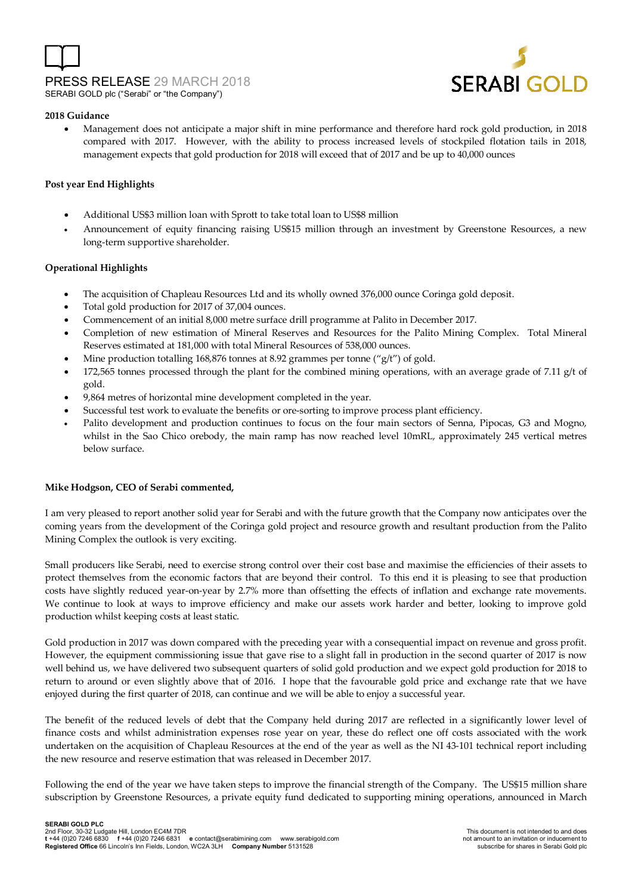



#### **2018 Guidance**

 Management does not anticipate a major shift in mine performance and therefore hard rock gold production, in 2018 compared with 2017. However, with the ability to process increased levels of stockpiled flotation tails in 2018, management expects that gold production for 2018 will exceed that of 2017 and be up to 40,000 ounces

### **Post year End Highlights**

- Additional US\$3 million loan with Sprott to take total loan to US\$8 million
- Announcement of equity financing raising US\$15 million through an investment by Greenstone Resources, a new long-term supportive shareholder.

#### **Operational Highlights**

- The acquisition of Chapleau Resources Ltd and its wholly owned 376,000 ounce Coringa gold deposit.
- Total gold production for 2017 of 37,004 ounces.
- Commencement of an initial 8,000 metre surface drill programme at Palito in December 2017.
- Completion of new estimation of Mineral Reserves and Resources for the Palito Mining Complex. Total Mineral Reserves estimated at 181,000 with total Mineral Resources of 538,000 ounces.
- Mine production totalling 168,876 tonnes at 8.92 grammes per tonne ("g/t") of gold.
- 172,565 tonnes processed through the plant for the combined mining operations, with an average grade of 7.11  $g/t$  of gold.
- 9,864 metres of horizontal mine development completed in the year.
- Successful test work to evaluate the benefits or ore-sorting to improve process plant efficiency.
- Palito development and production continues to focus on the four main sectors of Senna, Pipocas, G3 and Mogno, whilst in the Sao Chico orebody, the main ramp has now reached level 10mRL, approximately 245 vertical metres below surface.

#### **Mike Hodgson, CEO of Serabi commented,**

I am very pleased to report another solid year for Serabi and with the future growth that the Company now anticipates over the coming years from the development of the Coringa gold project and resource growth and resultant production from the Palito Mining Complex the outlook is very exciting.

Small producers like Serabi, need to exercise strong control over their cost base and maximise the efficiencies of their assets to protect themselves from the economic factors that are beyond their control. To this end it is pleasing to see that production costs have slightly reduced year-on-year by 2.7% more than offsetting the effects of inflation and exchange rate movements. We continue to look at ways to improve efficiency and make our assets work harder and better, looking to improve gold production whilst keeping costs at least static.

Gold production in 2017 was down compared with the preceding year with a consequential impact on revenue and gross profit. However, the equipment commissioning issue that gave rise to a slight fall in production in the second quarter of 2017 is now well behind us, we have delivered two subsequent quarters of solid gold production and we expect gold production for 2018 to return to around or even slightly above that of 2016. I hope that the favourable gold price and exchange rate that we have enjoyed during the first quarter of 2018, can continue and we will be able to enjoy a successful year.

The benefit of the reduced levels of debt that the Company held during 2017 are reflected in a significantly lower level of finance costs and whilst administration expenses rose year on year, these do reflect one off costs associated with the work undertaken on the acquisition of Chapleau Resources at the end of the year as well as the NI 43-101 technical report including the new resource and reserve estimation that was released in December 2017.

Following the end of the year we have taken steps to improve the financial strength of the Company. The US\$15 million share subscription by Greenstone Resources, a private equity fund dedicated to supporting mining operations, announced in March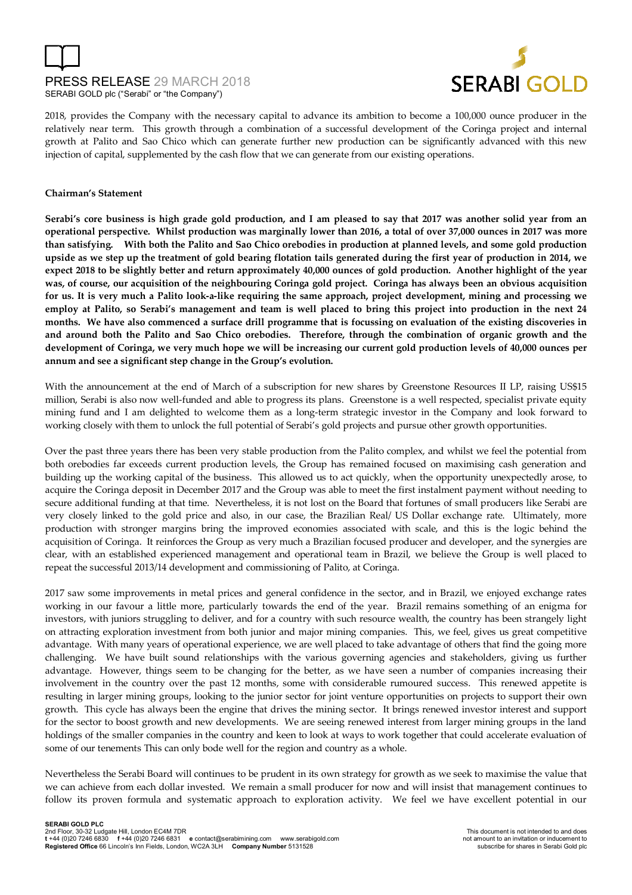# PRESS RELEASE 29 MARCH 2018 SERABI GOLD plc ("Serabi" or "the Company")



2018, provides the Company with the necessary capital to advance its ambition to become a 100,000 ounce producer in the relatively near term. This growth through a combination of a successful development of the Coringa project and internal growth at Palito and Sao Chico which can generate further new production can be significantly advanced with this new injection of capital, supplemented by the cash flow that we can generate from our existing operations.

### **Chairman's Statement**

**Serabi's core business is high grade gold production, and I am pleased to say that 2017 was another solid year from an operational perspective. Whilst production was marginally lower than 2016, a total of over 37,000 ounces in 2017 was more than satisfying. With both the Palito and Sao Chico orebodies in production at planned levels, and some gold production upside as we step up the treatment of gold bearing flotation tails generated during the first year of production in 2014, we expect 2018 to be slightly better and return approximately 40,000 ounces of gold production. Another highlight of the year was, of course, our acquisition of the neighbouring Coringa gold project. Coringa has always been an obvious acquisition for us. It is very much a Palito look-a-like requiring the same approach, project development, mining and processing we employ at Palito, so Serabi's management and team is well placed to bring this project into production in the next 24 months. We have also commenced a surface drill programme that is focussing on evaluation of the existing discoveries in and around both the Palito and Sao Chico orebodies. Therefore, through the combination of organic growth and the development of Coringa, we very much hope we will be increasing our current gold production levels of 40,000 ounces per annum and see a significant step change in the Group's evolution.** 

With the announcement at the end of March of a subscription for new shares by Greenstone Resources II LP, raising US\$15 million, Serabi is also now well-funded and able to progress its plans. Greenstone is a well respected, specialist private equity mining fund and I am delighted to welcome them as a long-term strategic investor in the Company and look forward to working closely with them to unlock the full potential of Serabi's gold projects and pursue other growth opportunities.

Over the past three years there has been very stable production from the Palito complex, and whilst we feel the potential from both orebodies far exceeds current production levels, the Group has remained focused on maximising cash generation and building up the working capital of the business. This allowed us to act quickly, when the opportunity unexpectedly arose, to acquire the Coringa deposit in December 2017 and the Group was able to meet the first instalment payment without needing to secure additional funding at that time. Nevertheless, it is not lost on the Board that fortunes of small producers like Serabi are very closely linked to the gold price and also, in our case, the Brazilian Real/ US Dollar exchange rate. Ultimately, more production with stronger margins bring the improved economies associated with scale, and this is the logic behind the acquisition of Coringa. It reinforces the Group as very much a Brazilian focused producer and developer, and the synergies are clear, with an established experienced management and operational team in Brazil, we believe the Group is well placed to repeat the successful 2013/14 development and commissioning of Palito, at Coringa.

2017 saw some improvements in metal prices and general confidence in the sector, and in Brazil, we enjoyed exchange rates working in our favour a little more, particularly towards the end of the year. Brazil remains something of an enigma for investors, with juniors struggling to deliver, and for a country with such resource wealth, the country has been strangely light on attracting exploration investment from both junior and major mining companies. This, we feel, gives us great competitive advantage. With many years of operational experience, we are well placed to take advantage of others that find the going more challenging. We have built sound relationships with the various governing agencies and stakeholders, giving us further advantage. However, things seem to be changing for the better, as we have seen a number of companies increasing their involvement in the country over the past 12 months, some with considerable rumoured success. This renewed appetite is resulting in larger mining groups, looking to the junior sector for joint venture opportunities on projects to support their own growth. This cycle has always been the engine that drives the mining sector. It brings renewed investor interest and support for the sector to boost growth and new developments. We are seeing renewed interest from larger mining groups in the land holdings of the smaller companies in the country and keen to look at ways to work together that could accelerate evaluation of some of our tenements This can only bode well for the region and country as a whole.

Nevertheless the Serabi Board will continues to be prudent in its own strategy for growth as we seek to maximise the value that we can achieve from each dollar invested. We remain a small producer for now and will insist that management continues to follow its proven formula and systematic approach to exploration activity. We feel we have excellent potential in our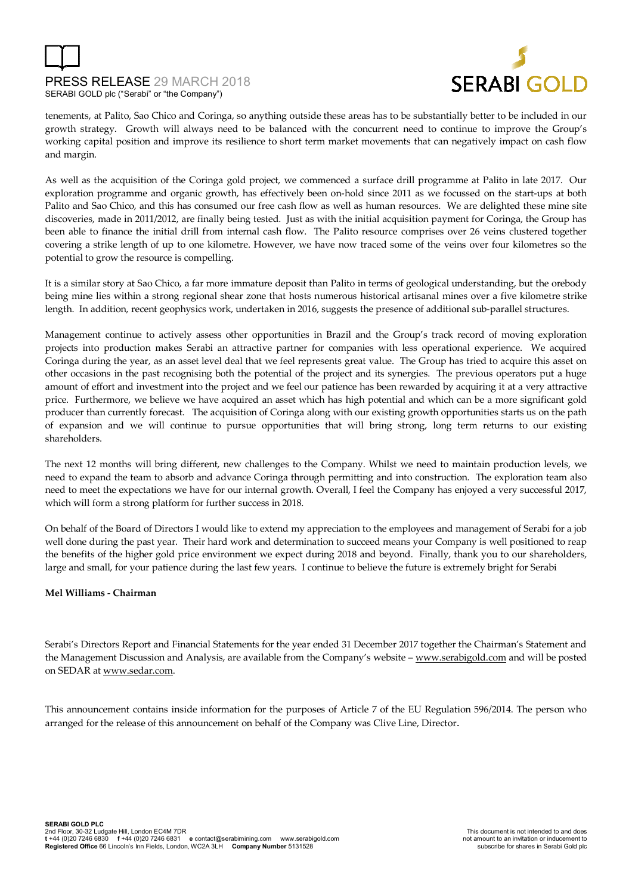



tenements, at Palito, Sao Chico and Coringa, so anything outside these areas has to be substantially better to be included in our growth strategy. Growth will always need to be balanced with the concurrent need to continue to improve the Group's working capital position and improve its resilience to short term market movements that can negatively impact on cash flow and margin.

As well as the acquisition of the Coringa gold project, we commenced a surface drill programme at Palito in late 2017. Our exploration programme and organic growth, has effectively been on-hold since 2011 as we focussed on the start-ups at both Palito and Sao Chico, and this has consumed our free cash flow as well as human resources. We are delighted these mine site discoveries, made in 2011/2012, are finally being tested. Just as with the initial acquisition payment for Coringa, the Group has been able to finance the initial drill from internal cash flow. The Palito resource comprises over 26 veins clustered together covering a strike length of up to one kilometre. However, we have now traced some of the veins over four kilometres so the potential to grow the resource is compelling.

It is a similar story at Sao Chico, a far more immature deposit than Palito in terms of geological understanding, but the orebody being mine lies within a strong regional shear zone that hosts numerous historical artisanal mines over a five kilometre strike length. In addition, recent geophysics work, undertaken in 2016, suggests the presence of additional sub-parallel structures.

Management continue to actively assess other opportunities in Brazil and the Group's track record of moving exploration projects into production makes Serabi an attractive partner for companies with less operational experience. We acquired Coringa during the year, as an asset level deal that we feel represents great value. The Group has tried to acquire this asset on other occasions in the past recognising both the potential of the project and its synergies. The previous operators put a huge amount of effort and investment into the project and we feel our patience has been rewarded by acquiring it at a very attractive price. Furthermore, we believe we have acquired an asset which has high potential and which can be a more significant gold producer than currently forecast. The acquisition of Coringa along with our existing growth opportunities starts us on the path of expansion and we will continue to pursue opportunities that will bring strong, long term returns to our existing shareholders.

The next 12 months will bring different, new challenges to the Company. Whilst we need to maintain production levels, we need to expand the team to absorb and advance Coringa through permitting and into construction. The exploration team also need to meet the expectations we have for our internal growth. Overall, I feel the Company has enjoyed a very successful 2017, which will form a strong platform for further success in 2018.

On behalf of the Board of Directors I would like to extend my appreciation to the employees and management of Serabi for a job well done during the past year. Their hard work and determination to succeed means your Company is well positioned to reap the benefits of the higher gold price environment we expect during 2018 and beyond. Finally, thank you to our shareholders, large and small, for your patience during the last few years. I continue to believe the future is extremely bright for Serabi

### **Mel Williams - Chairman**

Serabi's Directors Report and Financial Statements for the year ended 31 December 2017 together the Chairman's Statement and the Management Discussion and Analysis, are available from the Company's website – www.serabigold.com and will be posted on SEDAR at www.sedar.com.

This announcement contains inside information for the purposes of Article 7 of the EU Regulation 596/2014. The person who arranged for the release of this announcement on behalf of the Company was Clive Line, Director.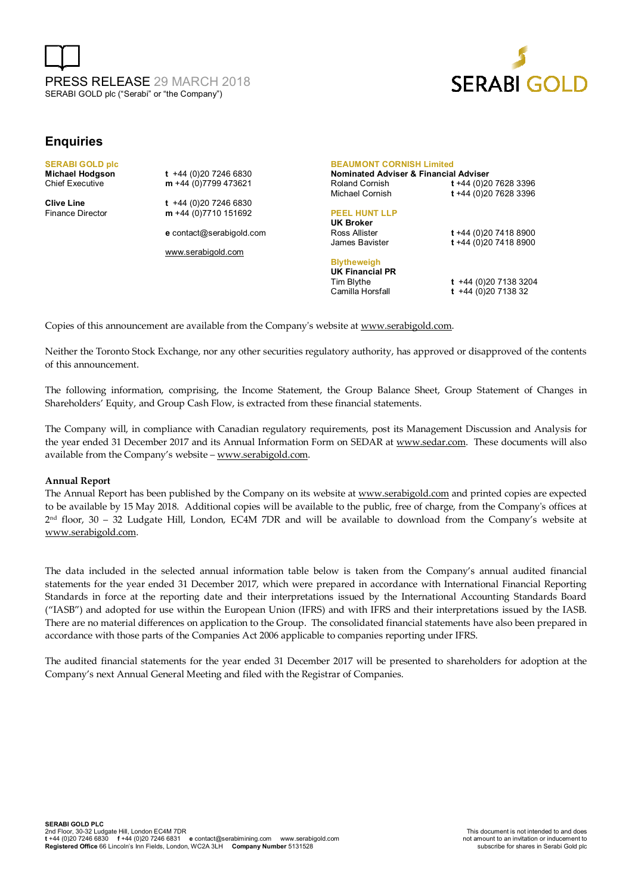



## **Enquiries**

**SERABI GOLD plc** 

**Michael Hodgson t +44 (0)20 7246 6830**<br>Chief Executive **m** +44 (0)7799 473621 m +44 (0)7799 473621

**Clive Line** t +44 (0)20 7246 6830<br>
Finance Director **m** +44 (0)7710 151692 m +44 (0)7710 151692

**e** contact@serabigold.com

www.serabigold.com

#### **BEAUMONT CORNISH Limited**

**Nominated Adviser & Financial Adviser**  Roland Cornish **t** +44 (0)20 7628 3396 Michael Cornish **t** +44 (0)20 7628 3396

#### **PEEL HUNT LLP**

**UK Broker**

**Blytheweigh UK Financial PR** 

Ross Allister **t** +44 (0)20 7418 8900 James Bavister **t** +44 (0)20 7418 8900

Tim Blythe **t** +44 (0)20 7138 3204 Camilla Horsfall **t** +44 (0)20 7138 32

Copies of this announcement are available from the Company's website at www.serabigold.com.

Neither the Toronto Stock Exchange, nor any other securities regulatory authority, has approved or disapproved of the contents of this announcement.

The following information, comprising, the Income Statement, the Group Balance Sheet, Group Statement of Changes in Shareholders' Equity, and Group Cash Flow, is extracted from these financial statements.

The Company will, in compliance with Canadian regulatory requirements, post its Management Discussion and Analysis for the year ended 31 December 2017 and its Annual Information Form on SEDAR at www.sedar.com. These documents will also available from the Company's website – www.serabigold.com.

#### **Annual Report**

The Annual Report has been published by the Company on its website at www.serabigold.com and printed copies are expected to be available by 15 May 2018. Additional copies will be available to the public, free of charge, from the Company's offices at 2 nd floor, 30 – 32 Ludgate Hill, London, EC4M 7DR and will be available to download from the Company's website at www.serabigold.com.

The data included in the selected annual information table below is taken from the Company's annual audited financial statements for the year ended 31 December 2017, which were prepared in accordance with International Financial Reporting Standards in force at the reporting date and their interpretations issued by the International Accounting Standards Board ("IASB") and adopted for use within the European Union (IFRS) and with IFRS and their interpretations issued by the IASB. There are no material differences on application to the Group. The consolidated financial statements have also been prepared in accordance with those parts of the Companies Act 2006 applicable to companies reporting under IFRS.

The audited financial statements for the year ended 31 December 2017 will be presented to shareholders for adoption at the Company's next Annual General Meeting and filed with the Registrar of Companies.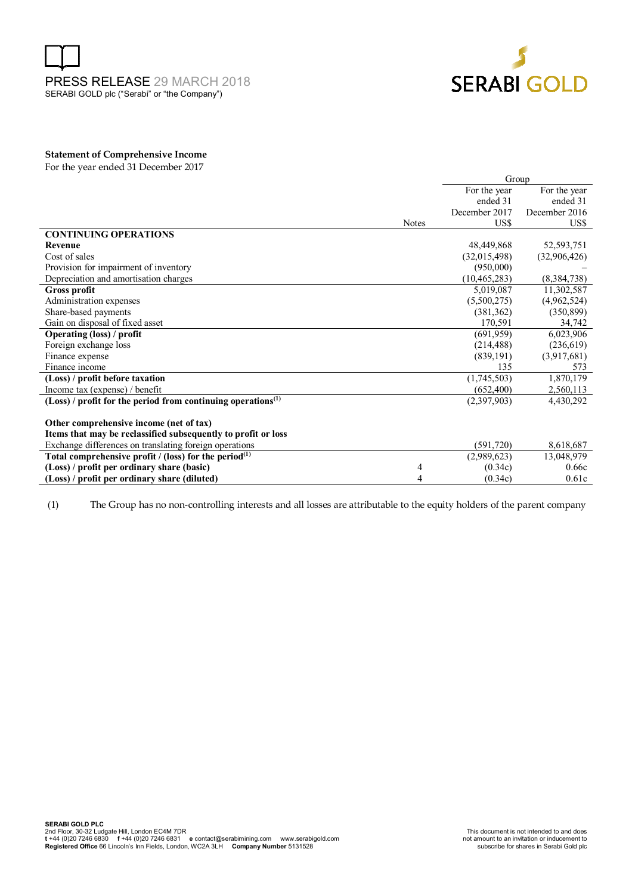



#### **Statement of Comprehensive Income**

For the year ended 31 December 2017

|                                                                            |       | Group          |               |  |
|----------------------------------------------------------------------------|-------|----------------|---------------|--|
|                                                                            |       | For the year   | For the year  |  |
|                                                                            |       | ended 31       | ended 31      |  |
|                                                                            |       | December 2017  | December 2016 |  |
|                                                                            | Notes | US\$           | US\$          |  |
| <b>CONTINUING OPERATIONS</b>                                               |       |                |               |  |
| Revenue                                                                    |       | 48,449,868     | 52,593,751    |  |
| Cost of sales                                                              |       | (32,015,498)   | (32,906,426)  |  |
| Provision for impairment of inventory                                      |       | (950,000)      |               |  |
| Depreciation and amortisation charges                                      |       | (10, 465, 283) | (8,384,738)   |  |
| <b>Gross profit</b>                                                        |       | 5,019,087      | 11,302,587    |  |
| Administration expenses                                                    |       | (5,500,275)    | (4,962,524)   |  |
| Share-based payments                                                       |       | (381, 362)     | (350, 899)    |  |
| Gain on disposal of fixed asset                                            |       | 170,591        | 34,742        |  |
| <b>Operating (loss) / profit</b>                                           |       | (691, 959)     | 6,023,906     |  |
| Foreign exchange loss                                                      |       | (214, 488)     | (236, 619)    |  |
| Finance expense                                                            |       | (839, 191)     | (3,917,681)   |  |
| Finance income                                                             |       | 135            | 573           |  |
| (Loss) / profit before taxation                                            |       | (1,745,503)    | 1,870,179     |  |
| Income tax (expense) / benefit                                             |       | (652, 400)     | 2,560,113     |  |
| $(Loss)$ / profit for the period from continuing operations <sup>(1)</sup> |       | (2,397,903)    | 4,430,292     |  |
|                                                                            |       |                |               |  |
| Other comprehensive income (net of tax)                                    |       |                |               |  |
| Items that may be reclassified subsequently to profit or loss              |       |                |               |  |
| Exchange differences on translating foreign operations                     |       | (591, 720)     | 8,618,687     |  |
| Total comprehensive profit / (loss) for the period $(1)$                   |       | (2,989,623)    | 13,048,979    |  |
| (Loss) / profit per ordinary share (basic)                                 | 4     | (0.34c)        | 0.66c         |  |
| (Loss) / profit per ordinary share (diluted)                               | 4     | (0.34c)        | 0.61c         |  |

(1) The Group has no non-controlling interests and all losses are attributable to the equity holders of the parent company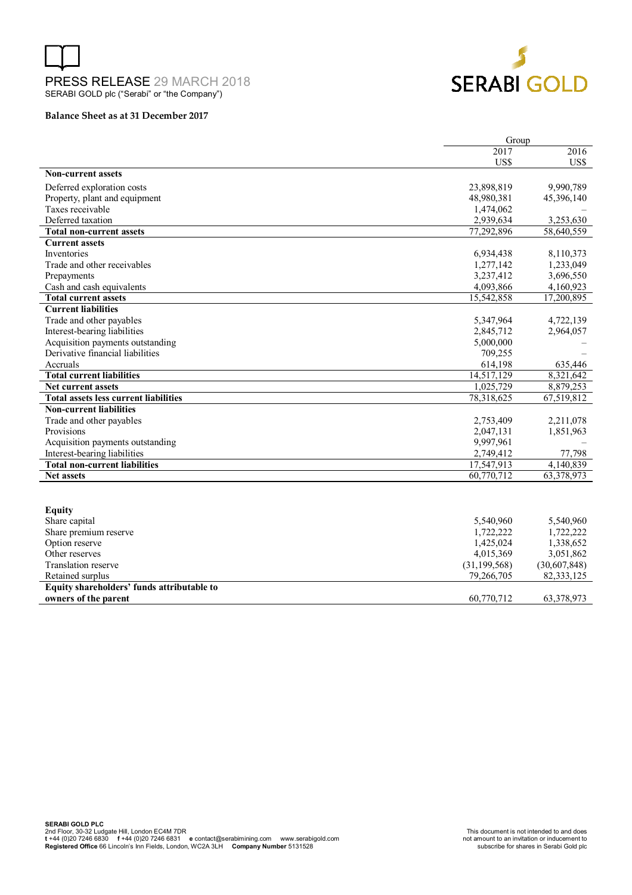



#### **Balance Sheet as at 31 December 2017**

|                                              | Group          |              |  |
|----------------------------------------------|----------------|--------------|--|
|                                              | 2017           | 2016         |  |
|                                              | US\$           | US\$         |  |
| <b>Non-current assets</b>                    |                |              |  |
| Deferred exploration costs                   | 23,898,819     | 9,990,789    |  |
| Property, plant and equipment                | 48,980,381     | 45,396,140   |  |
| Taxes receivable                             | 1,474,062      |              |  |
| Deferred taxation                            | 2,939,634      | 3,253,630    |  |
| <b>Total non-current assets</b>              | 77,292,896     | 58,640,559   |  |
| <b>Current assets</b>                        |                |              |  |
| Inventories                                  | 6,934,438      | 8,110,373    |  |
| Trade and other receivables                  | 1,277,142      | 1,233,049    |  |
| Prepayments                                  | 3,237,412      | 3,696,550    |  |
| Cash and cash equivalents                    | 4,093,866      | 4,160,923    |  |
| <b>Total current assets</b>                  | 15,542,858     | 17,200,895   |  |
| <b>Current liabilities</b>                   |                |              |  |
| Trade and other payables                     | 5,347,964      | 4,722,139    |  |
| Interest-bearing liabilities                 | 2,845,712      | 2,964,057    |  |
| Acquisition payments outstanding             | 5,000,000      |              |  |
| Derivative financial liabilities             | 709,255        |              |  |
| Accruals                                     | 614,198        | 635,446      |  |
| <b>Total current liabilities</b>             | 14,517,129     | 8,321,642    |  |
| Net current assets                           | 1.025.729      | 8.879.253    |  |
| <b>Total assets less current liabilities</b> | 78,318,625     | 67,519,812   |  |
| <b>Non-current liabilities</b>               |                |              |  |
| Trade and other payables                     | 2,753,409      | 2,211,078    |  |
| Provisions                                   | 2,047,131      | 1,851,963    |  |
| Acquisition payments outstanding             | 9,997,961      |              |  |
| Interest-bearing liabilities                 | 2,749,412      | 77,798       |  |
| <b>Total non-current liabilities</b>         | 17,547,913     | 4,140,839    |  |
| <b>Net assets</b>                            | 60,770,712     | 63,378,973   |  |
|                                              |                |              |  |
|                                              |                |              |  |
| <b>Equity</b>                                |                |              |  |
| Share capital                                | 5,540,960      | 5,540,960    |  |
| Share premium reserve                        | 1,722,222      | 1,722,222    |  |
| Option reserve                               | 1,425,024      | 1,338,652    |  |
| Other reserves                               | 4,015,369      | 3,051,862    |  |
| Translation reserve                          | (31, 199, 568) | (30,607,848) |  |
| Retained surplus                             | 79,266,705     | 82,333,125   |  |
| Fauity shareholders' funds attributable to   |                |              |  |

**Equity shareholders' funds attributable to owners of the parent** 60,770,712 63,378,973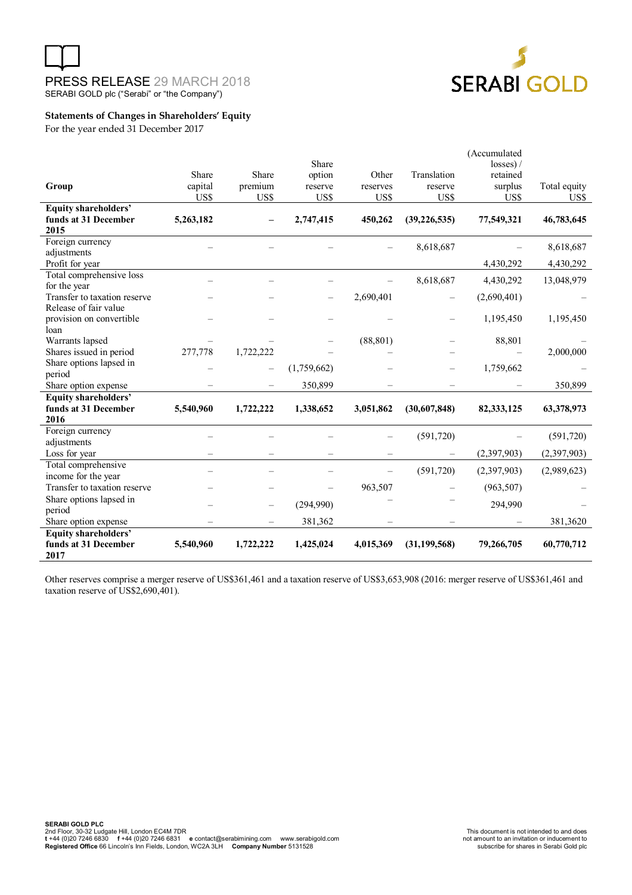



## **Statements of Changes in Shareholders' Equity**

For the year ended 31 December 2017

|                              |           |           |             |                          |                | (Accumulated |              |
|------------------------------|-----------|-----------|-------------|--------------------------|----------------|--------------|--------------|
|                              |           |           | Share       |                          |                | losses) /    |              |
|                              | Share     | Share     | option      | Other                    | Translation    | retained     |              |
| Group                        | capital   | premium   | reserve     | reserves                 | reserve        | surplus      | Total equity |
|                              | US\$      | US\$      | US\$        | US\$                     | US\$           | US\$         | US\$         |
| <b>Equity shareholders'</b>  |           |           |             |                          |                |              |              |
| funds at 31 December<br>2015 | 5,263,182 |           | 2,747,415   | 450,262                  | (39, 226, 535) | 77,549,321   | 46,783,645   |
| Foreign currency             |           |           |             |                          | 8,618,687      |              | 8,618,687    |
| adjustments                  |           |           |             |                          |                |              |              |
| Profit for year              |           |           |             |                          |                | 4,430,292    | 4,430,292    |
| Total comprehensive loss     |           |           |             |                          | 8,618,687      | 4,430,292    | 13,048,979   |
| for the year                 |           |           |             |                          |                |              |              |
| Transfer to taxation reserve |           |           |             | 2,690,401                |                | (2,690,401)  |              |
| Release of fair value        |           |           |             |                          |                |              |              |
| provision on convertible     |           |           |             |                          |                | 1,195,450    | 1,195,450    |
| loan                         |           |           |             |                          |                |              |              |
| Warrants lapsed              |           |           |             | (88, 801)                |                | 88,801       |              |
| Shares issued in period      | 277,778   | 1,722,222 |             |                          |                |              | 2,000,000    |
| Share options lapsed in      |           |           | (1,759,662) |                          |                | 1,759,662    |              |
| period                       |           |           |             |                          |                |              |              |
| Share option expense         |           |           | 350,899     |                          |                |              | 350,899      |
| <b>Equity shareholders'</b>  |           |           |             |                          |                |              |              |
| funds at 31 December         | 5,540,960 | 1,722,222 | 1,338,652   | 3,051,862                | (30,607,848)   | 82, 333, 125 | 63,378,973   |
| 2016                         |           |           |             |                          |                |              |              |
| Foreign currency             |           |           |             |                          | (591, 720)     |              | (591, 720)   |
| adjustments                  |           |           |             |                          |                |              |              |
| Loss for year                |           |           |             |                          |                | (2,397,903)  | (2,397,903)  |
| Total comprehensive          |           |           |             | $\overline{\phantom{0}}$ | (591, 720)     | (2,397,903)  | (2,989,623)  |
| income for the year          |           |           |             |                          |                |              |              |
| Transfer to taxation reserve |           |           |             | 963,507                  |                | (963, 507)   |              |
| Share options lapsed in      |           |           | (294,990)   |                          |                | 294,990      |              |
| period                       |           |           |             |                          |                |              |              |
| Share option expense         |           |           | 381,362     |                          |                |              | 381,3620     |
| Equity shareholders'         |           |           |             |                          |                |              |              |
| funds at 31 December<br>2017 | 5,540,960 | 1,722,222 | 1,425,024   | 4,015,369                | (31, 199, 568) | 79,266,705   | 60,770,712   |

Other reserves comprise a merger reserve of US\$361,461 and a taxation reserve of US\$3,653,908 (2016: merger reserve of US\$361,461 and taxation reserve of US\$2,690,401).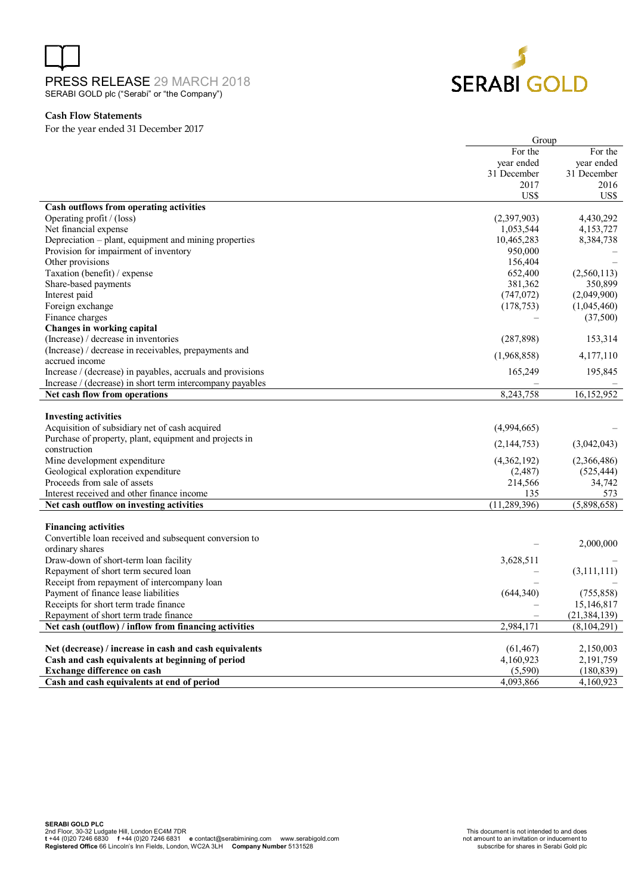

### **Cash Flow Statements**

For the year ended 31 December 2017

|                                                                                     | Group          |                          |  |
|-------------------------------------------------------------------------------------|----------------|--------------------------|--|
|                                                                                     | For the        | For the                  |  |
|                                                                                     | year ended     | year ended               |  |
|                                                                                     | 31 December    | 31 December              |  |
|                                                                                     | 2017           | 2016                     |  |
|                                                                                     | US\$           | US\$                     |  |
| Cash outflows from operating activities                                             |                |                          |  |
| Operating profit / (loss)                                                           | (2,397,903)    | 4,430,292                |  |
| Net financial expense                                                               | 1,053,544      | 4,153,727                |  |
| Depreciation - plant, equipment and mining properties                               | 10,465,283     | 8,384,738                |  |
| Provision for impairment of inventory                                               | 950,000        |                          |  |
| Other provisions                                                                    | 156,404        |                          |  |
| Taxation (benefit) / expense                                                        | 652,400        | (2,560,113)              |  |
| Share-based payments                                                                | 381,362        | 350,899                  |  |
| Interest paid                                                                       | (747, 072)     | (2,049,900)              |  |
| Foreign exchange                                                                    | (178, 753)     | (1,045,460)              |  |
| Finance charges                                                                     |                | (37,500)                 |  |
| Changes in working capital                                                          |                |                          |  |
| (Increase) / decrease in inventories                                                | (287, 898)     | 153,314                  |  |
| (Increase) / decrease in receivables, prepayments and                               | (1,968,858)    | 4,177,110                |  |
| accrued income                                                                      |                |                          |  |
| Increase / (decrease) in payables, accruals and provisions                          | 165,249        | 195,845                  |  |
| Increase / (decrease) in short term intercompany payables                           |                |                          |  |
| Net cash flow from operations                                                       | 8,243,758      | 16,152,952               |  |
|                                                                                     |                |                          |  |
| <b>Investing activities</b>                                                         |                |                          |  |
| Acquisition of subsidiary net of cash acquired                                      | (4,994,665)    |                          |  |
| Purchase of property, plant, equipment and projects in                              | (2,144,753)    | (3,042,043)              |  |
| construction                                                                        |                |                          |  |
| Mine development expenditure                                                        | (4,362,192)    | (2,366,486)              |  |
| Geological exploration expenditure                                                  | (2,487)        | (525, 444)               |  |
| Proceeds from sale of assets                                                        | 214,566        | 34,742                   |  |
| Interest received and other finance income                                          | 135            | 573                      |  |
| Net cash outflow on investing activities                                            | (11, 289, 396) | (5,898,658)              |  |
|                                                                                     |                |                          |  |
| <b>Financing activities</b>                                                         |                |                          |  |
| Convertible loan received and subsequent conversion to                              |                | 2,000,000                |  |
| ordinary shares                                                                     |                |                          |  |
| Draw-down of short-term loan facility                                               | 3,628,511      |                          |  |
| Repayment of short term secured loan                                                |                | (3,111,111)              |  |
| Receipt from repayment of intercompany loan<br>Payment of finance lease liabilities | (644, 340)     |                          |  |
|                                                                                     |                | (755, 858)<br>15,146,817 |  |
| Receipts for short term trade finance<br>Repayment of short term trade finance      |                | (21, 384, 139)           |  |
|                                                                                     |                |                          |  |
| Net cash (outflow) / inflow from financing activities                               | 2,984,171      | (8, 104, 291)            |  |
| Net (decrease) / increase in cash and cash equivalents                              | (61, 467)      | 2,150,003                |  |
| Cash and cash equivalents at beginning of period                                    | 4,160,923      | 2,191,759                |  |
| <b>Exchange difference on cash</b>                                                  | (5,590)        | (180, 839)               |  |
| Cash and cash equivalents at end of period                                          | 4,093,866      | 4,160,923                |  |
|                                                                                     |                |                          |  |

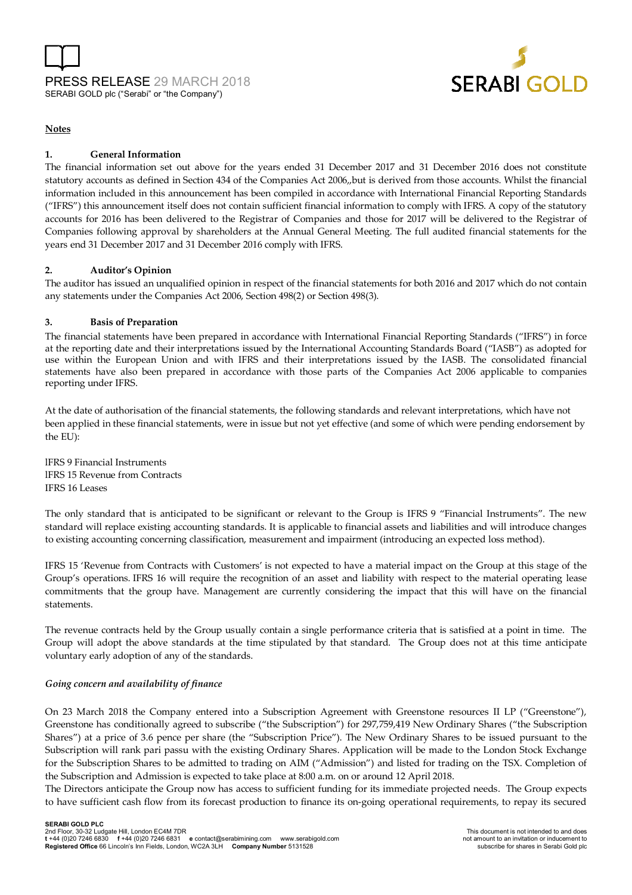



### **Notes**

## **1. General Information**

The financial information set out above for the years ended 31 December 2017 and 31 December 2016 does not constitute statutory accounts as defined in Section 434 of the Companies Act 2006,,but is derived from those accounts. Whilst the financial information included in this announcement has been compiled in accordance with International Financial Reporting Standards ("IFRS") this announcement itself does not contain sufficient financial information to comply with IFRS. A copy of the statutory accounts for 2016 has been delivered to the Registrar of Companies and those for 2017 will be delivered to the Registrar of Companies following approval by shareholders at the Annual General Meeting. The full audited financial statements for the years end 31 December 2017 and 31 December 2016 comply with IFRS.

### **2. Auditor's Opinion**

The auditor has issued an unqualified opinion in respect of the financial statements for both 2016 and 2017 which do not contain any statements under the Companies Act 2006, Section 498(2) or Section 498(3).

### **3. Basis of Preparation**

The financial statements have been prepared in accordance with International Financial Reporting Standards ("IFRS") in force at the reporting date and their interpretations issued by the International Accounting Standards Board ("IASB") as adopted for use within the European Union and with IFRS and their interpretations issued by the IASB. The consolidated financial statements have also been prepared in accordance with those parts of the Companies Act 2006 applicable to companies reporting under IFRS.

At the date of authorisation of the financial statements, the following standards and relevant interpretations, which have not been applied in these financial statements, were in issue but not yet effective (and some of which were pending endorsement by the EU):

lFRS 9 Financial Instruments lFRS 15 Revenue from Contracts IFRS 16 Leases

The only standard that is anticipated to be significant or relevant to the Group is IFRS 9 "Financial Instruments". The new standard will replace existing accounting standards. It is applicable to financial assets and liabilities and will introduce changes to existing accounting concerning classification, measurement and impairment (introducing an expected loss method).

IFRS 15 'Revenue from Contracts with Customers' is not expected to have a material impact on the Group at this stage of the Group's operations. IFRS 16 will require the recognition of an asset and liability with respect to the material operating lease commitments that the group have. Management are currently considering the impact that this will have on the financial statements.

The revenue contracts held by the Group usually contain a single performance criteria that is satisfied at a point in time. The Group will adopt the above standards at the time stipulated by that standard. The Group does not at this time anticipate voluntary early adoption of any of the standards.

### *Going concern and availability of finance*

On 23 March 2018 the Company entered into a Subscription Agreement with Greenstone resources II LP ("Greenstone"), Greenstone has conditionally agreed to subscribe ("the Subscription") for 297,759,419 New Ordinary Shares ("the Subscription Shares") at a price of 3.6 pence per share (the "Subscription Price"). The New Ordinary Shares to be issued pursuant to the Subscription will rank pari passu with the existing Ordinary Shares. Application will be made to the London Stock Exchange for the Subscription Shares to be admitted to trading on AIM ("Admission") and listed for trading on the TSX. Completion of the Subscription and Admission is expected to take place at 8:00 a.m. on or around 12 April 2018.

The Directors anticipate the Group now has access to sufficient funding for its immediate projected needs. The Group expects to have sufficient cash flow from its forecast production to finance its on-going operational requirements, to repay its secured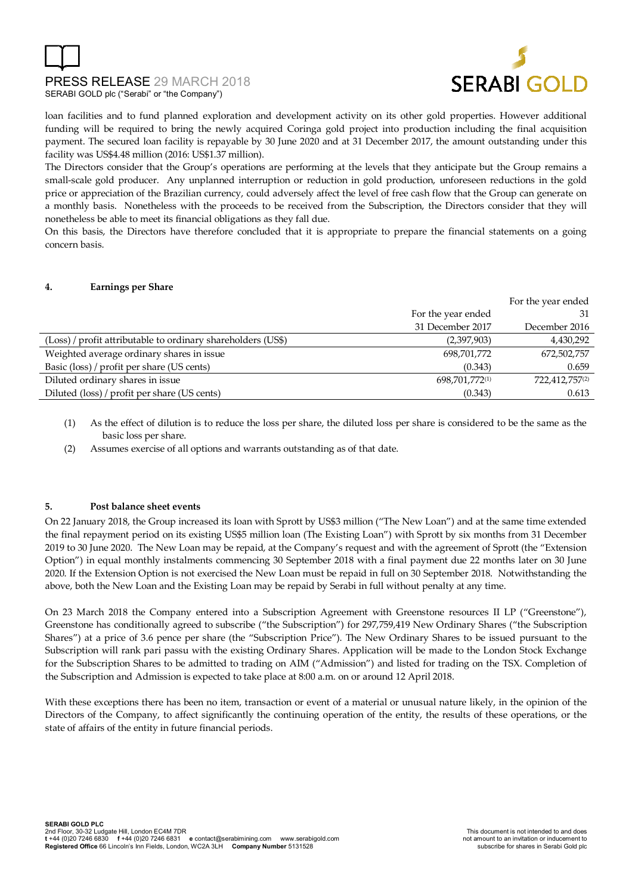



loan facilities and to fund planned exploration and development activity on its other gold properties. However additional funding will be required to bring the newly acquired Coringa gold project into production including the final acquisition payment. The secured loan facility is repayable by 30 June 2020 and at 31 December 2017, the amount outstanding under this facility was US\$4.48 million (2016: US\$1.37 million).

The Directors consider that the Group's operations are performing at the levels that they anticipate but the Group remains a small-scale gold producer. Any unplanned interruption or reduction in gold production, unforeseen reductions in the gold price or appreciation of the Brazilian currency, could adversely affect the level of free cash flow that the Group can generate on a monthly basis. Nonetheless with the proceeds to be received from the Subscription, the Directors consider that they will nonetheless be able to meet its financial obligations as they fall due.

On this basis, the Directors have therefore concluded that it is appropriate to prepare the financial statements on a going concern basis.

#### **4. Earnings per Share**

|                                                              |                    | For the year ended |
|--------------------------------------------------------------|--------------------|--------------------|
|                                                              | For the year ended | 31                 |
|                                                              | 31 December 2017   | December 2016      |
| (Loss) / profit attributable to ordinary shareholders (US\$) | (2,397,903)        | 4,430,292          |
| Weighted average ordinary shares in issue                    | 698,701,772        | 672,502,757        |
| Basic (loss) / profit per share (US cents)                   | (0.343)            | 0.659              |
| Diluted ordinary shares in issue                             | 698,701,772(1)     | 722,412,757(2)     |
| Diluted (loss) / profit per share (US cents)                 | (0.343)            | 0.613              |

(1) As the effect of dilution is to reduce the loss per share, the diluted loss per share is considered to be the same as the basic loss per share.

(2) Assumes exercise of all options and warrants outstanding as of that date.

#### **5. Post balance sheet events**

On 22 January 2018, the Group increased its loan with Sprott by US\$3 million ("The New Loan") and at the same time extended the final repayment period on its existing US\$5 million loan (The Existing Loan") with Sprott by six months from 31 December 2019 to 30 June 2020. The New Loan may be repaid, at the Company's request and with the agreement of Sprott (the "Extension Option") in equal monthly instalments commencing 30 September 2018 with a final payment due 22 months later on 30 June 2020. If the Extension Option is not exercised the New Loan must be repaid in full on 30 September 2018. Notwithstanding the above, both the New Loan and the Existing Loan may be repaid by Serabi in full without penalty at any time.

On 23 March 2018 the Company entered into a Subscription Agreement with Greenstone resources II LP ("Greenstone"), Greenstone has conditionally agreed to subscribe ("the Subscription") for 297,759,419 New Ordinary Shares ("the Subscription Shares") at a price of 3.6 pence per share (the "Subscription Price"). The New Ordinary Shares to be issued pursuant to the Subscription will rank pari passu with the existing Ordinary Shares. Application will be made to the London Stock Exchange for the Subscription Shares to be admitted to trading on AIM ("Admission") and listed for trading on the TSX. Completion of the Subscription and Admission is expected to take place at 8:00 a.m. on or around 12 April 2018.

With these exceptions there has been no item, transaction or event of a material or unusual nature likely, in the opinion of the Directors of the Company, to affect significantly the continuing operation of the entity, the results of these operations, or the state of affairs of the entity in future financial periods.